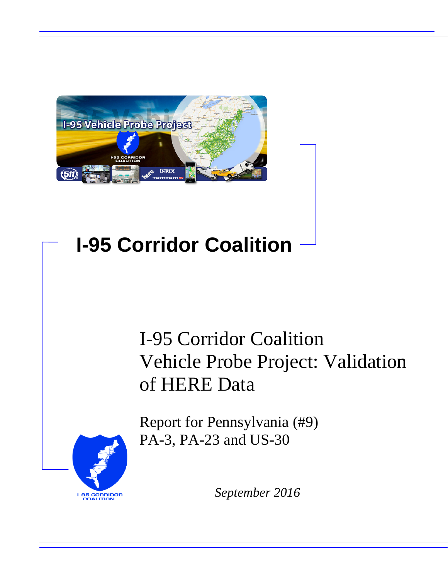

# **I-95 Corridor Coalition**

# I-95 Corridor Coalition Vehicle Probe Project: Validation of HERE Data

Report for Pennsylvania (#9) PA-3, PA-23 and US-30



*September 2016*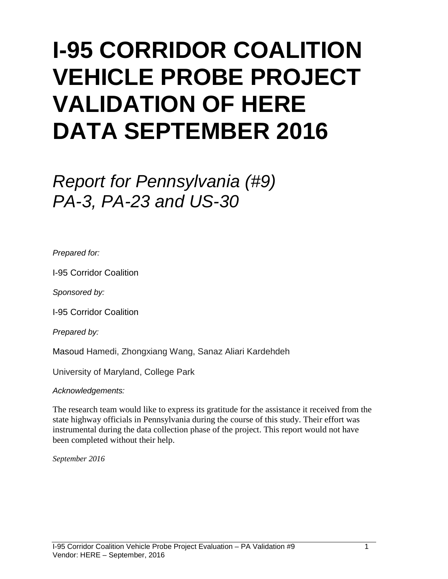# **I-95 CORRIDOR COALITION VEHICLE PROBE PROJECT VALIDATION OF HERE DATA SEPTEMBER 2016**

# *Report for Pennsylvania (#9) PA-3, PA-23 and US-30*

*Prepared for:*

I-95 Corridor Coalition

*Sponsored by:*

I-95 Corridor Coalition

*Prepared by:*

Masoud Hamedi, Zhongxiang Wang, Sanaz Aliari Kardehdeh

University of Maryland, College Park

*Acknowledgements:*

The research team would like to express its gratitude for the assistance it received from the state highway officials in Pennsylvania during the course of this study. Their effort was instrumental during the data collection phase of the project. This report would not have been completed without their help.

*September 2016*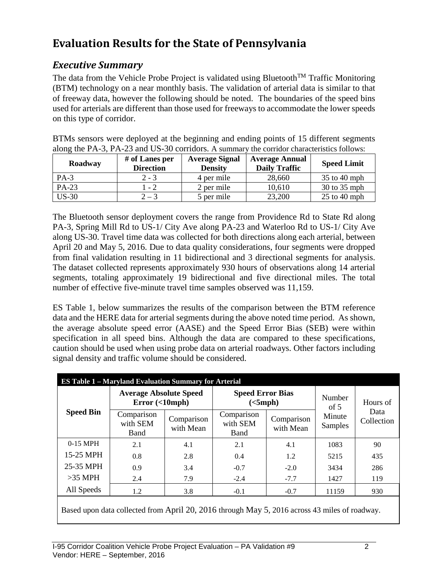# **Evaluation Results for the State of Pennsylvania**

## *Executive Summary*

The data from the Vehicle Probe Project is validated using Bluetooth<sup>TM</sup> Traffic Monitoring (BTM) technology on a near monthly basis. The validation of arterial data is similar to that of freeway data, however the following should be noted. The boundaries of the speed bins used for arterials are different than those used for freeways to accommodate the lower speeds on this type of corridor.

BTMs sensors were deployed at the beginning and ending points of 15 different segments along the PA-3, PA-23 and US-30 corridors. A summary the corridor characteristics follows:

| Roadway | # of Lanes per<br><b>Direction</b> | <b>Average Signal</b><br><b>Density</b> | <b>Average Annual</b><br><b>Daily Traffic</b> | <b>Speed Limit</b> |
|---------|------------------------------------|-----------------------------------------|-----------------------------------------------|--------------------|
| $PA-3$  | $2 - 3$                            | 4 per mile                              | 28,660                                        | $35$ to 40 mph     |
| PA-23   | l - 2                              | 2 per mile                              | 10,610                                        | 30 to 35 mph       |
| $US-30$ | $2 - 3$                            | 5 per mile                              | 23,200                                        | $25$ to 40 mph     |

The Bluetooth sensor deployment covers the range from Providence Rd to State Rd along PA-3, Spring Mill Rd to US-1/ City Ave along PA-23 and Waterloo Rd to US-1/ City Ave along US-30. Travel time data was collected for both directions along each arterial, between April 20 and May 5, 2016. Due to data quality considerations, four segments were dropped from final validation resulting in 11 bidirectional and 3 directional segments for analysis. The dataset collected represents approximately 930 hours of observations along 14 arterial segments, totaling approximately 19 bidirectional and five directional miles. The total number of effective five-minute travel time samples observed was 11,159.

ES Table 1, below summarizes the results of the comparison between the BTM reference data and the HERE data for arterial segments during the above noted time period. As shown, the average absolute speed error (AASE) and the Speed Error Bias (SEB) were within specification in all speed bins. Although the data are compared to these specifications, caution should be used when using probe data on arterial roadways. Other factors including signal density and traffic volume should be considered.

|                  | <b>ES Table 1 - Maryland Evaluation Summary for Arterial</b>                                  |     |                                     |                   |                    |          |  |  |  |
|------------------|-----------------------------------------------------------------------------------------------|-----|-------------------------------------|-------------------|--------------------|----------|--|--|--|
|                  | <b>Average Absolute Speed</b><br>Error(<10                                                    |     | <b>Speed Error Bias</b><br>(<5 mph) |                   | Number<br>of $5$   | Hours of |  |  |  |
| <b>Speed Bin</b> | Comparison<br>Comparison<br>Comparison<br>with SEM<br>with SEM<br>with Mean<br>Band<br>Band   |     | Comparison<br>with Mean             | Minute<br>Samples | Data<br>Collection |          |  |  |  |
| $0-15$ MPH       | 2.1                                                                                           | 4.1 | 2.1                                 | 4.1               | 1083               | 90       |  |  |  |
| 15-25 MPH        | 0.8                                                                                           | 2.8 | 0.4                                 | 1.2               | 5215               | 435      |  |  |  |
| 25-35 MPH        | 0.9                                                                                           | 3.4 | $-0.7$                              | $-2.0$            | 3434               | 286      |  |  |  |
| $>35$ MPH        | 2.4                                                                                           | 7.9 | $-2.4$                              | $-7.7$            | 1427               | 119      |  |  |  |
| All Speeds       | 1.2                                                                                           | 3.8 | $-0.1$                              | $-0.7$            | 11159              | 930      |  |  |  |
|                  | Based upon data collected from April 20, 2016 through May 5, 2016 across 43 miles of roadway. |     |                                     |                   |                    |          |  |  |  |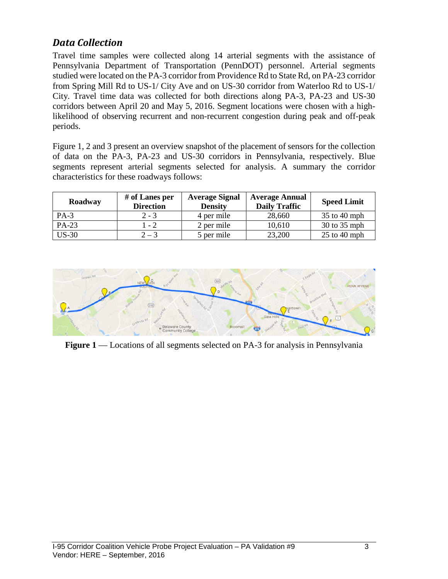## *Data Collection*

Travel time samples were collected along 14 arterial segments with the assistance of Pennsylvania Department of Transportation (PennDOT) personnel. Arterial segments studied were located on the PA-3 corridor from Providence Rd to State Rd, on PA-23 corridor from Spring Mill Rd to US-1/ City Ave and on US-30 corridor from Waterloo Rd to US-1/ City. Travel time data was collected for both directions along PA-3, PA-23 and US-30 corridors between April 20 and May 5, 2016. Segment locations were chosen with a highlikelihood of observing recurrent and non-recurrent congestion during peak and off-peak periods.

Figure 1, 2 and 3 present an overview snapshot of the placement of sensors for the collection of data on the PA-3, PA-23 and US-30 corridors in Pennsylvania, respectively. Blue segments represent arterial segments selected for analysis. A summary the corridor characteristics for these roadways follows:

| Roadway | # of Lanes per<br><b>Direction</b> | <b>Average Signal</b><br><b>Density</b> | <b>Average Annual</b><br><b>Daily Traffic</b> | <b>Speed Limit</b> |
|---------|------------------------------------|-----------------------------------------|-----------------------------------------------|--------------------|
| $PA-3$  | $2 - 3$                            | 4 per mile                              | 28,660                                        | 35 to 40 mph       |
| PA-23   | 1 - 2                              | 2 per mile                              | 10,610                                        | 30 to 35 mph       |
| $US-30$ | $2 - 3$                            | 5 per mile                              | 23,200                                        | $25$ to 40 mph     |



**Figure 1** –– Locations of all segments selected on PA-3 for analysis in Pennsylvania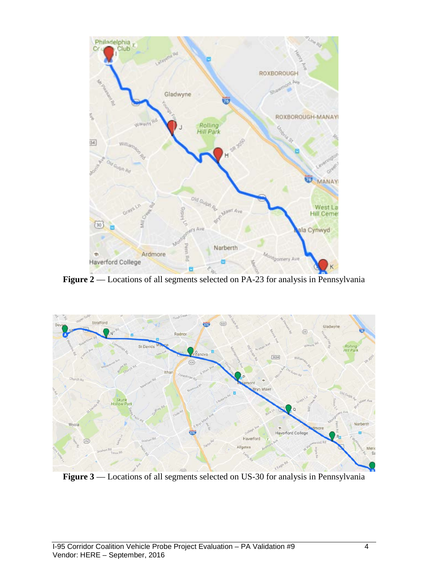

Figure 2 –– Locations of all segments selected on PA-23 for analysis in Pennsylvania



**Figure 3** –– Locations of all segments selected on US-30 for analysis in Pennsylvania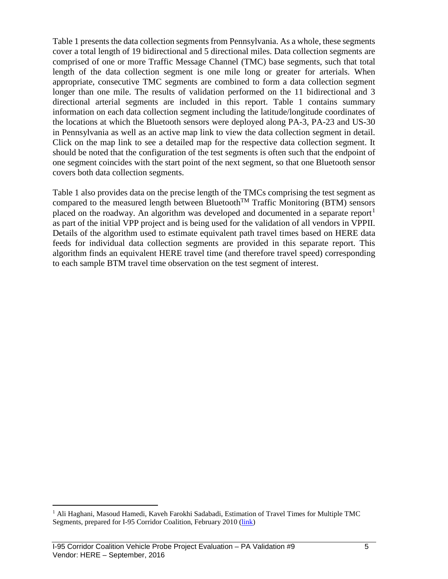Table 1 presents the data collection segments from Pennsylvania. As a whole, these segments cover a total length of 19 bidirectional and 5 directional miles. Data collection segments are comprised of one or more Traffic Message Channel (TMC) base segments, such that total length of the data collection segment is one mile long or greater for arterials. When appropriate, consecutive TMC segments are combined to form a data collection segment longer than one mile. The results of validation performed on the 11 bidirectional and 3 directional arterial segments are included in this report. Table 1 contains summary information on each data collection segment including the latitude/longitude coordinates of the locations at which the Bluetooth sensors were deployed along PA-3, PA-23 and US-30 in Pennsylvania as well as an active map link to view the data collection segment in detail. Click on the map link to see a detailed map for the respective data collection segment. It should be noted that the configuration of the test segments is often such that the endpoint of one segment coincides with the start point of the next segment, so that one Bluetooth sensor covers both data collection segments.

Table 1 also provides data on the precise length of the TMCs comprising the test segment as compared to the measured length between Bluetooth<sup>TM</sup> Traffic Monitoring (BTM) sensors placed on the roadway. An algorithm was developed and documented in a separate report<sup>[1](#page-5-0)</sup> as part of the initial VPP project and is being used for the validation of all vendors in VPPII. Details of the algorithm used to estimate equivalent path travel times based on HERE data feeds for individual data collection segments are provided in this separate report. This algorithm finds an equivalent HERE travel time (and therefore travel speed) corresponding to each sample BTM travel time observation on the test segment of interest.

<span id="page-5-0"></span><sup>&</sup>lt;sup>1</sup> Ali Haghani, Masoud Hamedi, Kaveh Farokhi Sadabadi, Estimation of Travel Times for Multiple TMC Segments, prepared for I-95 Corridor Coalition, February 2010 [\(link\)](http://www.i95coalition.org/wp-content/uploads/2015/02/I-95-CC-Estimation-of-Travel-Times-for-Multiple-TMC-Segments-FINAL2.pdf)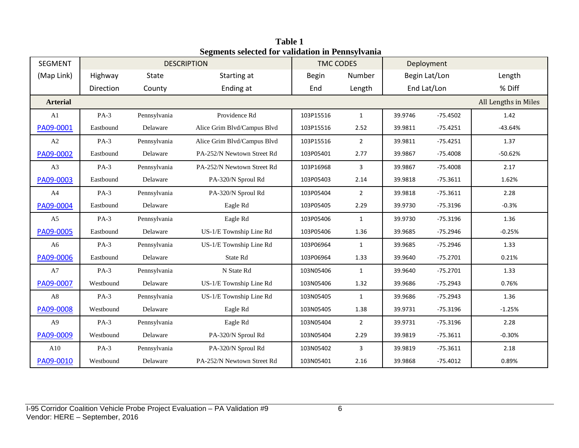| <b>SEGMENT</b>  |           |              | <b>DESCRIPTION</b>          | <b>TMC CODES</b>                                     |                | Deployment |               |                      |
|-----------------|-----------|--------------|-----------------------------|------------------------------------------------------|----------------|------------|---------------|----------------------|
| (Map Link)      | Highway   | State        | Starting at                 | <b>Begin</b>                                         | Number         |            | Begin Lat/Lon | Length               |
|                 | Direction | County       | Ending at                   | End                                                  | Length         |            | End Lat/Lon   | % Diff               |
| <b>Arterial</b> |           |              |                             |                                                      |                |            |               | All Lengths in Miles |
| A <sub>1</sub>  | $PA-3$    | Pennsylvania | Providence Rd               | 103P15516                                            | $\mathbf{1}$   | 39.9746    | $-75.4502$    | 1.42                 |
| PA09-0001       | Eastbound | Delaware     | Alice Grim Blvd/Campus Blvd | 103P15516                                            | 2.52           | 39.9811    | $-75.4251$    | $-43.64%$            |
| A2              | $PA-3$    | Pennsylvania | Alice Grim Blvd/Campus Blvd | 103P15516                                            | $\overline{2}$ | 39.9811    | $-75.4251$    | 1.37                 |
| PA09-0002       | Eastbound | Delaware     | PA-252/N Newtown Street Rd  | 103P05401                                            | 2.77           | 39.9867    | $-75.4008$    | $-50.62%$            |
| A3              | $PA-3$    | Pennsylvania | PA-252/N Newtown Street Rd  | 103P16968                                            | 3              | 39.9867    | $-75.4008$    | 2.17                 |
| PA09-0003       | Eastbound | Delaware     | PA-320/N Sproul Rd          | 103P05403                                            | 2.14           | 39.9818    | $-75.3611$    | 1.62%                |
| A4              | $PA-3$    | Pennsylvania | PA-320/N Sproul Rd          | 103P05404<br>$\overline{2}$<br>39.9818<br>$-75.3611$ |                |            | 2.28          |                      |
| PA09-0004       | Eastbound | Delaware     | Eagle Rd                    | 103P05405                                            | 2.29           | 39.9730    | $-75.3196$    | $-0.3%$              |
| A <sub>5</sub>  | $PA-3$    | Pennsylvania | Eagle Rd                    | 103P05406                                            | $\mathbf{1}$   | 39.9730    | $-75.3196$    | 1.36                 |
| PA09-0005       | Eastbound | Delaware     | US-1/E Township Line Rd     | 103P05406                                            | 1.36           | 39.9685    | $-75.2946$    | $-0.25%$             |
| A6              | $PA-3$    | Pennsylvania | US-1/E Township Line Rd     | 103P06964                                            | $\mathbf{1}$   | 39.9685    | $-75.2946$    | 1.33                 |
| PA09-0006       | Eastbound | Delaware     | State Rd                    | 103P06964                                            | 1.33           | 39.9640    | $-75.2701$    | 0.21%                |
| A7              | $PA-3$    | Pennsylvania | N State Rd                  | 103N05406                                            | $\mathbf{1}$   | 39.9640    | $-75.2701$    | 1.33                 |
| PA09-0007       | Westbound | Delaware     | US-1/E Township Line Rd     | 103N05406                                            | 1.32           | 39.9686    | $-75.2943$    | 0.76%                |
| A8              | $PA-3$    | Pennsylvania | US-1/E Township Line Rd     | 103N05405                                            | $\mathbf{1}$   | 39.9686    | $-75.2943$    | 1.36                 |
| PA09-0008       | Westbound | Delaware     | Eagle Rd                    | 103N05405                                            | 1.38           | 39.9731    | $-75.3196$    | $-1.25%$             |
| A <sub>9</sub>  | $PA-3$    | Pennsylvania | Eagle Rd                    | 103N05404                                            | $\overline{2}$ | 39.9731    | $-75.3196$    | 2.28                 |
| PA09-0009       | Westbound | Delaware     | PA-320/N Sproul Rd          | 103N05404                                            | 2.29           | 39.9819    | $-75.3611$    | $-0.30%$             |
| A10             | $PA-3$    | Pennsylvania | PA-320/N Sproul Rd          | 103N05402                                            | 3              | 39.9819    | $-75.3611$    | 2.18                 |
| PA09-0010       | Westbound | Delaware     | PA-252/N Newtown Street Rd  | 103N05401                                            | 2.16           | 39.9868    | $-75.4012$    | 0.89%                |

**Table 1 Segments selected for validation in Pennsylvania**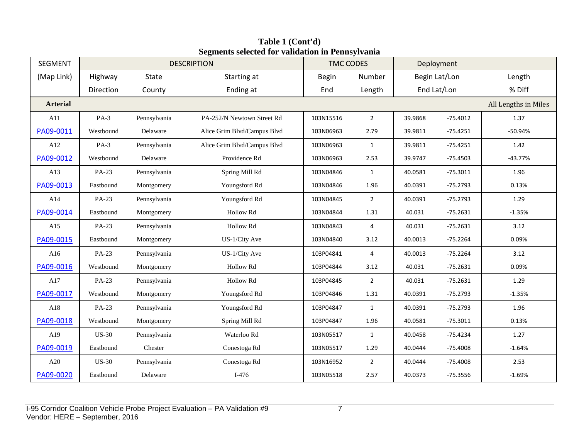| SEGMENT         |              |              | $\sim$ gritting bettered for vanuation in 1 ching ryunna<br><b>DESCRIPTION</b> | <b>TMC CODES</b> |                | Deployment           |               |           |
|-----------------|--------------|--------------|--------------------------------------------------------------------------------|------------------|----------------|----------------------|---------------|-----------|
| (Map Link)      | Highway      | State        | Starting at                                                                    | <b>Begin</b>     | Number         |                      | Begin Lat/Lon | Length    |
|                 | Direction    | County       | Ending at                                                                      | End              | Length         |                      | End Lat/Lon   | % Diff    |
| <b>Arterial</b> |              |              |                                                                                |                  |                | All Lengths in Miles |               |           |
| A11             | $PA-3$       | Pennsylvania | PA-252/N Newtown Street Rd                                                     | 103N15516        | $\overline{2}$ | 39.9868              | $-75.4012$    | 1.37      |
| PA09-0011       | Westbound    | Delaware     | Alice Grim Blvd/Campus Blvd                                                    | 103N06963        | 2.79           | 39.9811              | $-75.4251$    | $-50.94%$ |
| A12             | $PA-3$       | Pennsylvania | Alice Grim Blvd/Campus Blvd                                                    | 103N06963        | $\mathbf{1}$   | 39.9811              | $-75.4251$    | 1.42      |
| PA09-0012       | Westbound    | Delaware     | Providence Rd                                                                  | 103N06963        | 2.53           | 39.9747              | $-75.4503$    | $-43.77%$ |
| A13             | PA-23        | Pennsylvania | Spring Mill Rd                                                                 | 103N04846        | $\mathbf{1}$   | 40.0581              | $-75.3011$    | 1.96      |
| PA09-0013       | Eastbound    | Montgomery   | Youngsford Rd                                                                  | 103N04846        | 1.96           | 40.0391              | $-75.2793$    | 0.13%     |
| A14             | PA-23        | Pennsylvania | Youngsford Rd                                                                  | 103N04845        | $\overline{2}$ | 40.0391              | $-75.2793$    | 1.29      |
| PA09-0014       | Eastbound    | Montgomery   | Hollow Rd                                                                      | 103N04844        | 1.31           | 40.031               | $-75.2631$    | $-1.35%$  |
| A15             | PA-23        | Pennsylvania | Hollow Rd                                                                      | 103N04843        | 4              | 40.031               | $-75.2631$    | 3.12      |
| PA09-0015       | Eastbound    | Montgomery   | US-1/City Ave                                                                  | 103N04840        | 3.12           | 40.0013              | $-75.2264$    | 0.09%     |
| A16             | PA-23        | Pennsylvania | US-1/City Ave                                                                  | 103P04841        | 4              | 40.0013              | $-75.2264$    | 3.12      |
| PA09-0016       | Westbound    | Montgomery   | Hollow Rd                                                                      | 103P04844        | 3.12           | 40.031               | $-75.2631$    | 0.09%     |
| A17             | PA-23        | Pennsylvania | Hollow Rd                                                                      | 103P04845        | $\overline{2}$ | 40.031               | $-75.2631$    | 1.29      |
| PA09-0017       | Westbound    | Montgomery   | Youngsford Rd                                                                  | 103P04846        | 1.31           | 40.0391              | $-75.2793$    | $-1.35%$  |
| A18             | PA-23        | Pennsylvania | Youngsford Rd                                                                  | 103P04847        | $\mathbf{1}$   | 40.0391              | $-75.2793$    | 1.96      |
| PA09-0018       | Westbound    | Montgomery   | Spring Mill Rd                                                                 | 103P04847        | 1.96           | 40.0581              | $-75.3011$    | 0.13%     |
| A19             | <b>US-30</b> | Pennsylvania | Waterloo Rd                                                                    | 103N05517        | $\mathbf{1}$   | 40.0458              | $-75.4234$    | 1.27      |
| PA09-0019       | Eastbound    | Chester      | Conestoga Rd                                                                   | 103N05517        | 1.29           | 40.0444              | $-75.4008$    | $-1.64%$  |
| A20             | <b>US-30</b> | Pennsylvania | Conestoga Rd                                                                   | 103N16952        | $\overline{2}$ | 40.0444              | $-75.4008$    | 2.53      |
| PA09-0020       | Eastbound    | Delaware     | $I-476$                                                                        | 103N05518        | 2.57           | 40.0373              | $-75.3556$    | $-1.69%$  |

**Table 1 (Cont'd) Segments selected for validation in Pennsylvania**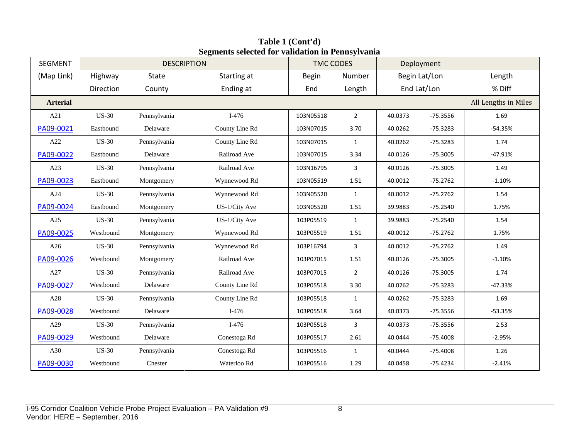| <b>SEGMENT</b>  |              | <b>DESCRIPTION</b> |                | <b>TMC CODES</b> |                | Deployment |               |                      |
|-----------------|--------------|--------------------|----------------|------------------|----------------|------------|---------------|----------------------|
| (Map Link)      | Highway      | State              | Starting at    | <b>Begin</b>     | Number         |            | Begin Lat/Lon | Length               |
|                 | Direction    | County             | Ending at      | End              | Length         |            | End Lat/Lon   | % Diff               |
| <b>Arterial</b> |              |                    |                |                  |                |            |               | All Lengths in Miles |
| A21             | <b>US-30</b> | Pennsylvania       | $I-476$        | 103N05518        | $\overline{2}$ | 40.0373    | $-75.3556$    | 1.69                 |
| PA09-0021       | Eastbound    | Delaware           | County Line Rd | 103N07015        | 3.70           | 40.0262    | $-75.3283$    | $-54.35%$            |
| A22             | <b>US-30</b> | Pennsylvania       | County Line Rd | 103N07015        | $\mathbf{1}$   | 40.0262    | $-75.3283$    | 1.74                 |
| PA09-0022       | Eastbound    | Delaware           | Railroad Ave   | 103N07015        | 3.34           | 40.0126    | $-75.3005$    | $-47.91%$            |
| A23             | <b>US-30</b> | Pennsylvania       | Railroad Ave   | 103N16795        | $\overline{3}$ | 40.0126    | $-75.3005$    | 1.49                 |
| PA09-0023       | Eastbound    | Montgomery         | Wynnewood Rd   | 103N05519        | 1.51           | 40.0012    | $-75.2762$    | $-1.10%$             |
| A24             | <b>US-30</b> | Pennsylvania       | Wynnewood Rd   | 103N05520        | $\mathbf{1}$   | 40.0012    | $-75.2762$    | 1.54                 |
| PA09-0024       | Eastbound    | Montgomery         | US-1/City Ave  | 103N05520        | 1.51           | 39.9883    | $-75.2540$    | 1.75%                |
| A25             | <b>US-30</b> | Pennsylvania       | US-1/City Ave  | 103P05519        | $\mathbf{1}$   | 39.9883    | $-75.2540$    | 1.54                 |
| PA09-0025       | Westbound    | Montgomery         | Wynnewood Rd   | 103P05519        | 1.51           | 40.0012    | $-75.2762$    | 1.75%                |
| A26             | <b>US-30</b> | Pennsylvania       | Wynnewood Rd   | 103P16794        | 3              | 40.0012    | $-75.2762$    | 1.49                 |
| PA09-0026       | Westbound    | Montgomery         | Railroad Ave   | 103P07015        | $1.51\,$       | 40.0126    | $-75.3005$    | $-1.10%$             |
| A27             | <b>US-30</b> | Pennsylvania       | Railroad Ave   | 103P07015        | $\overline{2}$ | 40.0126    | $-75.3005$    | 1.74                 |
| PA09-0027       | Westbound    | Delaware           | County Line Rd | 103P05518        | 3.30           | 40.0262    | $-75.3283$    | $-47.33%$            |
| A28             | <b>US-30</b> | Pennsylvania       | County Line Rd | 103P05518        | $\mathbf{1}$   | 40.0262    | $-75.3283$    | 1.69                 |
| PA09-0028       | Westbound    | Delaware           | $I-476$        | 103P05518        | 3.64           | 40.0373    | $-75.3556$    | $-53.35%$            |
| A29             | <b>US-30</b> | Pennsylvania       | $I-476$        | 103P05518        | 3              | 40.0373    | $-75.3556$    | 2.53                 |
| PA09-0029       | Westbound    | Delaware           | Conestoga Rd   | 103P05517        | 2.61           | 40.0444    | $-75.4008$    | $-2.95%$             |
| A30             | <b>US-30</b> | Pennsylvania       | Conestoga Rd   | 103P05516        | $\mathbf{1}$   | 40.0444    | $-75.4008$    | 1.26                 |
| PA09-0030       | Westbound    | Chester            | Waterloo Rd    | 103P05516        | 1.29           | 40.0458    | $-75.4234$    | $-2.41%$             |

**Table 1 (Cont'd) Segments selected for validation in Pennsylvania**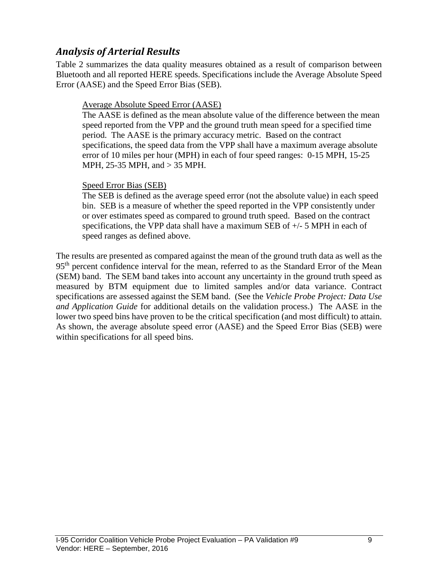# *Analysis of Arterial Results*

Table 2 summarizes the data quality measures obtained as a result of comparison between Bluetooth and all reported HERE speeds. Specifications include the Average Absolute Speed Error (AASE) and the Speed Error Bias (SEB).

### Average Absolute Speed Error (AASE)

The AASE is defined as the mean absolute value of the difference between the mean speed reported from the VPP and the ground truth mean speed for a specified time period. The AASE is the primary accuracy metric. Based on the contract specifications, the speed data from the VPP shall have a maximum average absolute error of 10 miles per hour (MPH) in each of four speed ranges: 0-15 MPH, 15-25 MPH, 25-35 MPH, and > 35 MPH.

### Speed Error Bias (SEB)

The SEB is defined as the average speed error (not the absolute value) in each speed bin. SEB is a measure of whether the speed reported in the VPP consistently under or over estimates speed as compared to ground truth speed. Based on the contract specifications, the VPP data shall have a maximum SEB of  $+/-$  5 MPH in each of speed ranges as defined above.

The results are presented as compared against the mean of the ground truth data as well as the 95<sup>th</sup> percent confidence interval for the mean, referred to as the Standard Error of the Mean (SEM) band. The SEM band takes into account any uncertainty in the ground truth speed as measured by BTM equipment due to limited samples and/or data variance. Contract specifications are assessed against the SEM band. (See the *Vehicle Probe Project: Data Use and Application Guide* for additional details on the validation process.) The AASE in the lower two speed bins have proven to be the critical specification (and most difficult) to attain. As shown, the average absolute speed error (AASE) and the Speed Error Bias (SEB) were within specifications for all speed bins.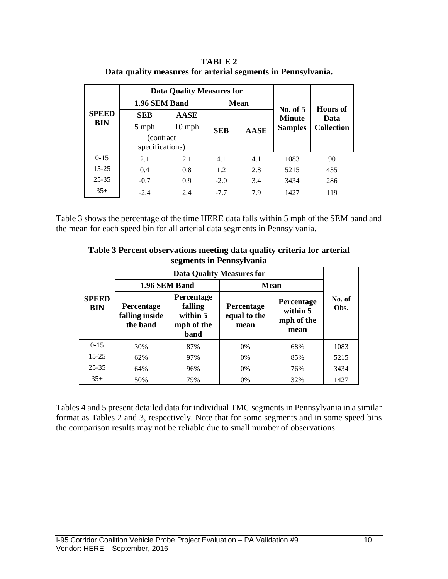|                            |                               | <b>Data Quality Measures for</b> |            |             |                           |                         |  |
|----------------------------|-------------------------------|----------------------------------|------------|-------------|---------------------------|-------------------------|--|
| <b>SPEED</b><br><b>BIN</b> | 1.96 SEM Band                 |                                  |            | <b>Mean</b> |                           |                         |  |
|                            | <b>SEB</b>                    | <b>AASE</b>                      |            |             | No. of 5<br><b>Minute</b> | <b>Hours</b> of<br>Data |  |
|                            | 5 mph                         | $10 \text{ mph}$                 | <b>SEB</b> | <b>AASE</b> | <b>Samples</b>            | Collection              |  |
|                            | (contract)<br>specifications) |                                  |            |             |                           |                         |  |
| $0-15$                     | 2.1                           | 2.1                              | 4.1        | 4.1         | 1083                      | 90                      |  |
| $15 - 25$                  | 0.4                           | 0.8                              | 1.2        | 2.8         | 5215                      | 435                     |  |
| $25 - 35$                  | $-0.7$                        | 0.9                              | $-2.0$     | 3.4         | 3434                      | 286                     |  |
| $35+$                      | $-2.4$                        | 2.4                              | $-7.7$     | 7.9         | 1427                      | 119                     |  |

**TABLE 2 Data quality measures for arterial segments in Pennsylvania.**

Table 3 shows the percentage of the time HERE data falls within 5 mph of the SEM band and the mean for each speed bin for all arterial data segments in Pennsylvania.

| Table 3 Percent observations meeting data quality criteria for arterial |
|-------------------------------------------------------------------------|
| segments in Pennsylvania                                                |

|                            | <b>Data Quality Measures for</b>                                                                    |     |                                    |                                              |                |  |  |  |  |
|----------------------------|-----------------------------------------------------------------------------------------------------|-----|------------------------------------|----------------------------------------------|----------------|--|--|--|--|
|                            | 1.96 SEM Band                                                                                       |     | <b>Mean</b>                        |                                              |                |  |  |  |  |
| <b>SPEED</b><br><b>BIN</b> | Percentage<br>falling<br>Percentage<br>falling inside<br>within 5<br>the band<br>mph of the<br>band |     | Percentage<br>equal to the<br>mean | Percentage<br>within 5<br>mph of the<br>mean | No. of<br>Obs. |  |  |  |  |
| $0-15$                     | 30%                                                                                                 | 87% | 0%                                 | 68%                                          | 1083           |  |  |  |  |
| $15 - 25$                  | 62%                                                                                                 | 97% | 0%                                 | 85%                                          | 5215           |  |  |  |  |
| $25 - 35$                  | 64%                                                                                                 | 96% | 0%                                 | 76%                                          | 3434           |  |  |  |  |
| $35+$                      | 50%                                                                                                 | 79% | 0%                                 | 32%                                          | 1427           |  |  |  |  |

Tables 4 and 5 present detailed data for individual TMC segments in Pennsylvania in a similar format as Tables 2 and 3, respectively. Note that for some segments and in some speed bins the comparison results may not be reliable due to small number of observations.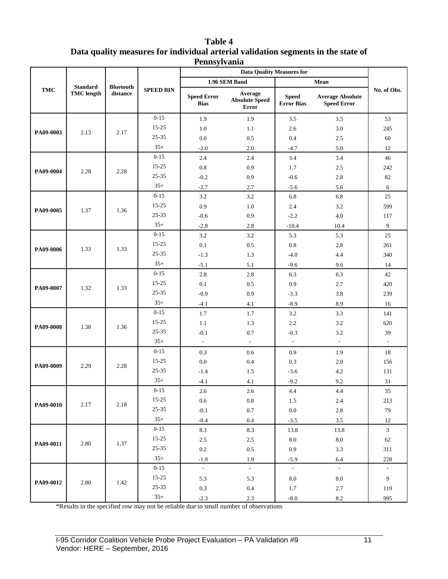| <b>Table 4</b>                                                                    |
|-----------------------------------------------------------------------------------|
| Data quality measures for individual arterial validation segments in the state of |
| Pennsylvania                                                                      |

|            |                   |                  |                  |                                   | <b>Data Quality Measures for</b>                 |                                   |                                               |                          |  |
|------------|-------------------|------------------|------------------|-----------------------------------|--------------------------------------------------|-----------------------------------|-----------------------------------------------|--------------------------|--|
|            | <b>Standard</b>   | <b>Bluetooth</b> |                  |                                   | 1.96 SEM Band                                    |                                   | Mean                                          |                          |  |
| <b>TMC</b> | <b>TMC</b> length | distance         | <b>SPEED BIN</b> | <b>Speed Error</b><br><b>Bias</b> | Average<br><b>Absolute Speed</b><br><b>Error</b> | <b>Speed</b><br><b>Error Bias</b> | <b>Average Absolute</b><br><b>Speed Error</b> | No. of Obs.              |  |
|            |                   |                  | $0 - 15$         | 1.9                               | 1.9                                              | 3.5                               | $3.5$                                         | 53                       |  |
| PA09-0003  | 2.13              | 2.17             | $15 - 25$        | 1.0                               | 1.1                                              | 2.6                               | 3.0                                           | 245                      |  |
|            |                   |                  | 25-35            | 0.0                               | 0.5                                              | 0.4                               | 2.5                                           | 60                       |  |
|            |                   |                  | $35+$            | $-2.0$                            | 2.0                                              | $-4.7$                            | 5.0                                           | 12                       |  |
|            |                   |                  | $0 - 15$         | 2.4                               | 2.4                                              | 3.4                               | 3.4                                           | 46                       |  |
| PA09-0004  | 2.28              | 2.28             | 15-25            | $0.8\,$                           | 0.9                                              | 1.7                               | 2.5                                           | 242                      |  |
|            |                   |                  | 25-35            | $-0.2$                            | 0.9                                              | $-0.6$                            | 2.8                                           | 82                       |  |
|            |                   |                  | $35+$            | $-2.7$                            | 2.7                                              | $-5.6$                            | 5.6                                           | 6                        |  |
|            |                   |                  | $0 - 15$         | 3.2                               | 3.2                                              | 6.8                               | 6.8                                           | 25                       |  |
| PA09-0005  | 1.37              | 1.36             | $15 - 25$        | 0.9                               | 1.0                                              | 2.4                               | 3.2                                           | 599                      |  |
|            |                   |                  | $25 - 35$        | $-0.6$                            | 0.9                                              | $-2.2$                            | 4.0                                           | 117                      |  |
|            |                   |                  | $35+$            | $-2.8$                            | 2.8                                              | $-10.4$                           | 10.4                                          | 9                        |  |
|            |                   |                  | $0 - 15$         | 3.2                               | 3.2                                              | 5.3                               | 5.3                                           | 25                       |  |
| PA09-0006  | 1.33              | 1.33             | 15-25            | 0.1                               | 0.5                                              | $0.8\,$                           | 2.8                                           | 261                      |  |
|            |                   |                  | 25-35            | $-1.3$                            | 1.3                                              | $-4.0$                            | 4.4                                           | 340                      |  |
|            |                   |                  | $35+$            | $-5.1$                            | 5.1                                              | $-9.6$                            | 9.6                                           | 14                       |  |
|            |                   |                  | $0 - 15$         | 2.8                               | 2.8                                              | 6.3                               | 6.3                                           | 42                       |  |
| PA09-0007  | 1.32              | 1.33             | $15 - 25$        | 0.1                               | 0.5                                              | 0.9                               | 2.7                                           | 420                      |  |
|            |                   |                  | $25 - 35$        | $-0.9$                            | 0.9                                              | $-3.3$                            | 3.8                                           | 239                      |  |
|            |                   |                  | $35+$            | $-4.1$                            | 4.1                                              | $-8.9$                            | 8.9                                           | 16                       |  |
|            |                   |                  | $0 - 15$         | 1.7                               | 1.7                                              | 3.2                               | 3.3                                           | 141                      |  |
| PA09-0008  | 1.38              | 1.36             | 15-25            | 1.1                               | 1.3                                              | 2.2                               | 3.2                                           | 620                      |  |
|            |                   |                  | 25-35            | $-0.1$                            | 0.7                                              | $-0.3$                            | 3.2                                           | 39                       |  |
|            |                   |                  | $35+$            | $\omega$                          | $\sim$                                           | $\mathcal{L}_{\mathcal{A}}$       | $\mathcal{L}$                                 | $\overline{\phantom{a}}$ |  |
|            |                   |                  | $0 - 15$         | 0.3                               | 0.6                                              | 0.9                               | 1.9                                           | 18                       |  |
| PA09-0009  | 2.29              | 2.28             | $15 - 25$        | 0.0                               | 0.4                                              | 0.3                               | 2.0                                           | 156                      |  |
|            |                   |                  | $25 - 35$        | $-1.4$                            | 1.5                                              | $-3.6$                            | 4.2                                           | 131                      |  |
|            |                   |                  | $35+$            | $-4.1$                            | 4.1                                              | $-9.2$                            | 9.2                                           | 31                       |  |
|            |                   |                  | $0 - 15$         | 2.6                               | 2.6                                              | 4.4                               | 4.4                                           | 35                       |  |
| PA09-0010  | 2.17              | 2.18             | $15-25$          | $0.6\,$                           | $\rm 0.8$                                        | 1.5                               | 2.4                                           | 213                      |  |
|            |                   |                  | $25 - 35$        | $-0.1$                            | $0.7\,$                                          | $0.0\,$                           | $2.8\,$                                       | $79\,$                   |  |
|            |                   |                  | $35+$            | $-0.4$                            | $0.4\,$                                          | $-3.5$                            | $3.5\,$                                       | 12                       |  |
|            |                   |                  | $0 - 15$         | 8.3                               | 8.3                                              | 13.8                              | 13.8                                          | $\mathfrak{Z}$           |  |
| PA09-0011  | 2.80              | 1.37             | $15 - 25$        | $2.5\,$                           | $2.5\,$                                          | $\ \ 8.0$                         | $\ \ 8.0$                                     | $62\,$                   |  |
|            |                   |                  | $25 - 35$        | $0.2\,$                           | $0.5\,$                                          | $0.9\,$                           | $3.3$                                         | 311                      |  |
|            |                   |                  | $35+$            | $-1.9$                            | 1.9                                              | $-5.9$                            | 6.4                                           | $228\,$                  |  |
|            |                   |                  | $0 - 15$         | $\sim$                            | $\omega$                                         | $\mathcal{L}_{\mathcal{A}}$       | $\sim$                                        | $\overline{\phantom{a}}$ |  |
| PA09-0012  | 2.80              | 1.42             | $15-25$          | 5.3                               | 5.3                                              | $\ \ 8.0$                         | $8.0\,$                                       | 9                        |  |
|            |                   |                  | $25 - 35$        | $0.3\,$                           | $0.4\,$                                          | 1.7                               | $2.7\,$                                       | 119                      |  |
|            |                   |                  | $35+$            | $-2.3$                            | 2.3                                              | $-8.0$                            | $8.2\,$                                       | 995                      |  |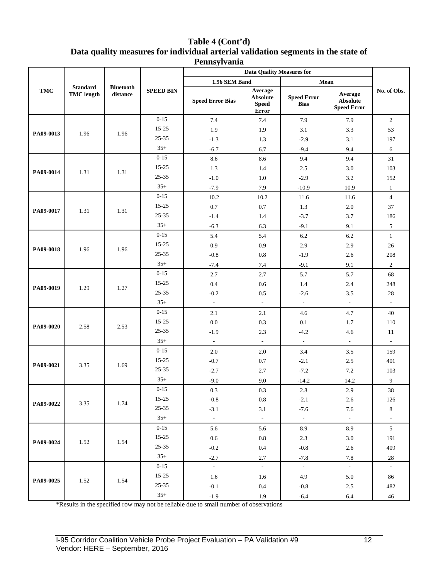#### **Table 4 (Cont'd) Data quality measures for individual arterial validation segments in the state of Pennsylvania**

|            |                                      |                              |                  |                          | <b>Data Quality Measures for</b>                    |                                   |                                                  |                |
|------------|--------------------------------------|------------------------------|------------------|--------------------------|-----------------------------------------------------|-----------------------------------|--------------------------------------------------|----------------|
|            |                                      |                              |                  | 1.96 SEM Band            |                                                     | Mean                              |                                                  |                |
| <b>TMC</b> | <b>Standard</b><br><b>TMC</b> length | <b>Bluetooth</b><br>distance | <b>SPEED BIN</b> | <b>Speed Error Bias</b>  | Average<br><b>Absolute</b><br><b>Speed</b><br>Error | <b>Speed Error</b><br><b>Bias</b> | Average<br><b>Absolute</b><br><b>Speed Error</b> | No. of Obs.    |
|            |                                      |                              | $0 - 15$         | 7.4                      | 7.4                                                 | 7.9                               | 7.9                                              | $\overline{c}$ |
| PA09-0013  | 1.96                                 | 1.96                         | $15 - 25$        | 1.9                      | 1.9                                                 | 3.1                               | 3.3                                              | 53             |
|            |                                      |                              | 25-35            | $-1.3$                   | 1.3                                                 | $-2.9$                            | 3.1                                              | 197            |
|            |                                      |                              | $35+$            | $-6.7$                   | 6.7                                                 | $-9.4$                            | 9.4                                              | 6              |
|            |                                      |                              | $0 - 15$         | 8.6                      | 8.6                                                 | 9.4                               | 9.4                                              | 31             |
| PA09-0014  | 1.31                                 | 1.31                         | 15-25            | 1.3                      | 1.4                                                 | 2.5                               | 3.0                                              | 103            |
|            |                                      |                              | 25-35            | $-1.0$                   | 1.0                                                 | $-2.9$                            | 3.2                                              | 152            |
|            |                                      |                              | $35+$            | $-7.9$                   | 7.9                                                 | $-10.9$                           | 10.9                                             | $\mathbf{1}$   |
|            |                                      |                              | $0 - 15$         | 10.2                     | 10.2                                                | 11.6                              | 11.6                                             | $\overline{4}$ |
| PA09-0017  | 1.31                                 | 1.31                         | $15 - 25$        | 0.7                      | 0.7                                                 | 1.3                               | 2.0                                              | 37             |
|            |                                      |                              | 25-35            | $-1.4$                   | 1.4                                                 | $-3.7$                            | 3.7                                              | 186            |
|            |                                      |                              | $35+$            | $-6.3$                   | 6.3                                                 | $-9.1$                            | 9.1                                              | 5              |
|            |                                      |                              | $0 - 15$         | 5.4                      | 5.4                                                 | 6.2                               | 6.2                                              | $\mathbf{1}$   |
| PA09-0018  | 1.96                                 | 1.96                         | 15-25            | 0.9                      | 0.9                                                 | 2.9                               | 2.9                                              | 26             |
|            |                                      |                              | $25 - 35$        | $-0.8$                   | 0.8                                                 | $-1.9$                            | 2.6                                              | 208            |
|            |                                      |                              | $35+$            | $-7.4$                   | 7.4                                                 | $-9.1$                            | 9.1                                              | $\overline{c}$ |
|            |                                      |                              | $0 - 15$         | 2.7                      | 2.7                                                 | 5.7                               | 5.7                                              | 68             |
| PA09-0019  | 1.29                                 | 1.27                         | $15 - 25$        | 0.4                      | 0.6                                                 | 1.4                               | 2.4                                              | 248            |
|            |                                      |                              | $25 - 35$        | $-0.2$                   | 0.5                                                 | $-2.6$                            | 3.5                                              | 28             |
|            |                                      |                              | $35+$            | $\overline{\phantom{a}}$ | $\overline{\phantom{a}}$                            | $\overline{\phantom{a}}$          | $\blacksquare$                                   | $\omega$       |
|            |                                      |                              | $0 - 15$         | 2.1                      | 2.1                                                 | 4.6                               | 4.7                                              | 40             |
| PA09-0020  | 2.58                                 | 2.53                         | 15-25            | 0.0                      | 0.3                                                 | 0.1                               | 1.7                                              | 110            |
|            |                                      |                              | 25-35            | $-1.9$                   | 2.3                                                 | $-4.2$                            | 4.6                                              | 11             |
|            |                                      |                              | $35+$            | $\sim$                   | $\overline{\phantom{a}}$                            | $\overline{\phantom{a}}$          | $\sim$                                           | $\omega$       |
|            |                                      |                              | $0 - 15$         | 2.0                      | 2.0                                                 | 3.4                               | 3.5                                              | 159            |
| PA09-0021  | 3.35                                 | 1.69                         | $15 - 25$        | $-0.7$                   | 0.7                                                 | $-2.1$                            | $2.5\,$                                          | 401            |
|            |                                      |                              | 25-35            | $-2.7$                   | 2.7                                                 | $-7.2$                            | 7.2                                              | 103            |
|            |                                      |                              | $35+$            | $-9.0$                   | 9.0                                                 | $-14.2$                           | 14.2                                             | 9              |
|            |                                      |                              | $0 - 15$         | 0.3                      | 0.3                                                 | 2.8                               | 2.9                                              | 38             |
| PA09-0022  | 3.35                                 | 1.74                         | $15 - 25$        | $-0.8$                   | $\rm 0.8$                                           | $-2.1$                            | $2.6\,$                                          | 126            |
|            |                                      |                              | $25 - 35$        | $-3.1$                   | 3.1                                                 | $-7.6$                            | $7.6\,$                                          | $\,8\,$        |
|            |                                      |                              | $35+$            | $\bar{\gamma}$           | $\overline{\phantom{a}}$                            | $\omega$                          | $\sim$                                           | $\Box$         |
|            |                                      |                              | $0 - 15$         | 5.6                      | 5.6                                                 | 8.9                               | 8.9                                              | 5 <sup>5</sup> |
| PA09-0024  | 1.52                                 | 1.54                         | $15 - 25$        | $0.6\,$                  | $\rm 0.8$                                           | 2.3                               | 3.0                                              | 191            |
|            |                                      |                              | $25 - 35$        | $-0.2$                   | $0.4\,$                                             | $-0.8$                            | $2.6\,$                                          | 409            |
|            |                                      |                              | $35+$            | $-2.7$                   | $2.7\,$                                             | $-7.8$                            | $7.8\,$                                          | $28\,$         |
|            |                                      |                              | $0 - 15$         | $\omega$                 | $\bar{\gamma}$                                      | $\sim$                            | $\mathbb{Z}^2$                                   | $\equiv$       |
| PA09-0025  | 1.52                                 | 1.54                         | $15 - 25$        | 1.6                      | 1.6                                                 | 4.9                               | 5.0                                              | 86             |
|            |                                      |                              | $25 - 35$        | $-0.1$                   | 0.4                                                 | $-0.8$                            | $2.5\,$                                          | 482            |
|            |                                      |                              | $35+$            | $-1.9$                   | 1.9                                                 | $-6.4$                            | 6.4                                              | $46\,$         |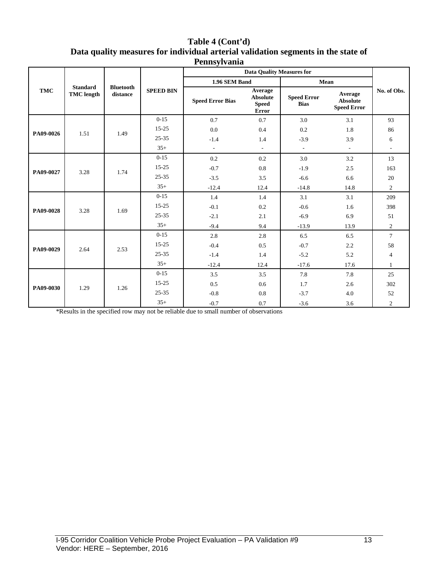| Table 4 (Cont'd)                                                                  |
|-----------------------------------------------------------------------------------|
| Data quality measures for individual arterial validation segments in the state of |
| Pennsylvania                                                                      |

| <b>TMC</b> |                                      |                              |                  | 1.96 SEM Band            |                                                            | Mean                              |                                           |                          |        |
|------------|--------------------------------------|------------------------------|------------------|--------------------------|------------------------------------------------------------|-----------------------------------|-------------------------------------------|--------------------------|--------|
|            | <b>Standard</b><br><b>TMC</b> length | <b>Bluetooth</b><br>distance | <b>SPEED BIN</b> | <b>Speed Error Bias</b>  | Average<br><b>Absolute</b><br><b>Speed</b><br><b>Error</b> | <b>Speed Error</b><br><b>Bias</b> | Average<br>Absolute<br><b>Speed Error</b> | No. of Obs.              |        |
|            |                                      |                              | $0 - 15$         | 0.7                      | 0.7                                                        | 3.0                               | 3.1                                       | 93                       |        |
| PA09-0026  | 1.51                                 | 1.49                         | $15 - 25$        | 0.0                      | 0.4                                                        | 0.2                               | 1.8                                       | 86                       |        |
|            |                                      |                              | $25 - 35$        | $-1.4$                   | 1.4                                                        | $-3.9$                            | 3.9                                       | 6                        |        |
|            |                                      |                              | $35+$            | $\overline{\phantom{a}}$ | $\overline{\phantom{a}}$                                   | $\overline{\phantom{a}}$          | $\mathcal{L}_{\mathcal{A}}$               | $\overline{\phantom{a}}$ |        |
|            |                                      |                              | $0 - 15$         | 0.2                      | 0.2                                                        | 3.0                               | 3.2                                       | 13                       |        |
| PA09-0027  | 3.28                                 | 1.74                         | $15 - 25$        | $-0.7$                   | 0.8                                                        | $-1.9$                            | 2.5                                       | 163                      |        |
|            |                                      |                              | $25 - 35$        | $-3.5$                   | 3.5                                                        | $-6.6$                            | 6.6                                       | 20                       |        |
|            |                                      |                              | $35+$            | $-12.4$                  | 12.4                                                       | $-14.8$                           | 14.8                                      | $\overline{2}$           |        |
|            | 3.28                                 |                              | $0 - 15$         | 1.4                      | 1.4                                                        | 3.1                               | 3.1                                       | 209                      |        |
| PA09-0028  |                                      | 1.69                         | $15 - 25$        | $-0.1$                   | 0.2                                                        | $-0.6$                            | 1.6                                       | 398                      |        |
|            |                                      |                              | $25 - 35$        | $-2.1$                   | 2.1                                                        | $-6.9$                            | 6.9                                       | 51                       |        |
|            |                                      |                              |                  |                          | $35+$                                                      | $-9.4$                            | 9.4                                       | $-13.9$                  | 13.9   |
|            | 2.64                                 |                              |                  | $0-15$                   | 2.8                                                        | 2.8                               | 6.5                                       | 6.5                      | $\tau$ |
| PA09-0029  |                                      |                              | 2.53             | $15 - 25$                | $-0.4$                                                     | 0.5                               | $-0.7$                                    | 2.2                      | 58     |
|            |                                      |                              | $25 - 35$        | $-1.4$                   | 1.4                                                        | $-5.2$                            | 5.2                                       | $\overline{4}$           |        |
|            |                                      |                              | $35+$            | $-12.4$                  | 12.4                                                       | $-17.6$                           | 17.6                                      | $\mathbf{1}$             |        |
|            |                                      |                              | $0 - 15$         | 3.5                      | 3.5                                                        | 7.8                               | 7.8                                       | 25                       |        |
| PA09-0030  | 1.29                                 | 1.26                         | $15 - 25$        | 0.5                      | 0.6                                                        | 1.7                               | 2.6                                       | 302                      |        |
|            |                                      |                              | $25 - 35$        | $-0.8$                   | 0.8                                                        | $-3.7$                            | 4.0                                       | 52                       |        |
|            |                                      |                              | $35+$            | $-0.7$                   | 0.7                                                        | $-3.6$                            | 3.6                                       | $\overline{2}$           |        |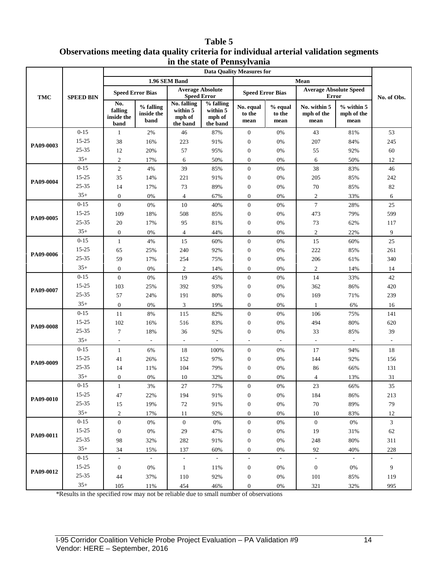#### **Table 5 Observations meeting data quality criteria for individual arterial validation segments in the state of Pennsylvania**

|            |                       | in the state of I emisylvania<br><b>Data Quality Measures for</b> |                                 |                                               |                                             |                             |                           |                                               |                                      |                |  |
|------------|-----------------------|-------------------------------------------------------------------|---------------------------------|-----------------------------------------------|---------------------------------------------|-----------------------------|---------------------------|-----------------------------------------------|--------------------------------------|----------------|--|
|            | <b>SPEED BIN</b>      |                                                                   | 1.96 SEM Band                   |                                               |                                             |                             | Mean                      |                                               |                                      |                |  |
| <b>TMC</b> |                       | <b>Speed Error Bias</b>                                           |                                 | <b>Average Absolute</b><br><b>Speed Error</b> |                                             | <b>Speed Error Bias</b>     |                           | <b>Average Absolute Speed</b><br><b>Error</b> |                                      | No. of Obs.    |  |
|            |                       | No.<br>falling<br>inside the<br>band                              | % falling<br>inside the<br>band | No. falling<br>within 5<br>mph of<br>the band | % falling<br>within 5<br>mph of<br>the band | No. equal<br>to the<br>mean | % equal<br>to the<br>mean | No. within 5<br>mph of the<br>mean            | $%$ within $5$<br>mph of the<br>mean |                |  |
|            | $0 - 15$              | 1                                                                 | 2%                              | 46                                            | 87%                                         | $\mathbf{0}$                | 0%                        | 43                                            | 81%                                  | 53             |  |
| PA09-0003  | 15-25                 | 38                                                                | 16%                             | 223                                           | 91%                                         | $\boldsymbol{0}$            | 0%                        | 207                                           | 84%                                  | 245            |  |
|            | 25-35                 | 12                                                                | 20%                             | 57                                            | 95%                                         | $\boldsymbol{0}$            | 0%                        | 55                                            | 92%                                  | $60\,$         |  |
|            | $35+$                 | $\mathfrak{2}$                                                    | 17%                             | 6                                             | 50%                                         | $\overline{0}$              | $0\%$                     | 6                                             | 50%                                  | 12             |  |
|            | $0 - 15$              | $\sqrt{2}$                                                        | 4%                              | 39                                            | 85%                                         | $\boldsymbol{0}$            | 0%                        | 38                                            | 83%                                  | 46             |  |
| PA09-0004  | 15-25                 | 35                                                                | 14%                             | 221                                           | 91%                                         | $\boldsymbol{0}$            | 0%                        | 205                                           | 85%                                  | 242            |  |
|            | 25-35                 | 14                                                                | 17%                             | 73                                            | 89%                                         | $\boldsymbol{0}$            | 0%                        | 70                                            | 85%                                  | 82             |  |
|            | $35+$                 | $\boldsymbol{0}$                                                  | $0\%$                           | $\overline{4}$                                | 67%                                         | $\overline{0}$              | 0%                        | $\sqrt{2}$                                    | 33%                                  | 6              |  |
|            | $0 - 15$              | $\mathbf{0}$                                                      | 0%                              | 10                                            | 40%                                         | $\boldsymbol{0}$            | 0%                        | $\boldsymbol{7}$                              | 28%                                  | 25             |  |
| PA09-0005  | 15-25                 | 109                                                               | 18%                             | 508                                           | 85%                                         | $\boldsymbol{0}$            | 0%                        | 473                                           | 79%                                  | 599            |  |
|            | 25-35                 | 20                                                                | 17%                             | 95                                            | 81%                                         | $\boldsymbol{0}$            | 0%                        | 73                                            | 62%                                  | 117            |  |
|            | $35+$                 | $\boldsymbol{0}$                                                  | $0\%$                           | $\overline{4}$                                | 44%                                         | $\overline{0}$              | 0%                        | $\sqrt{2}$                                    | 22%                                  | 9              |  |
|            | $0 - 15$              | $\mathbf{1}$                                                      | 4%                              | 15                                            | 60%                                         | $\boldsymbol{0}$            | 0%                        | 15                                            | 60%                                  | 25             |  |
| PA09-0006  | 15-25                 | 65                                                                | 25%                             | 240                                           | 92%                                         | $\boldsymbol{0}$            | 0%                        | 222                                           | 85%                                  | 261            |  |
|            | 25-35                 | 59                                                                | 17%                             | 254                                           | 75%                                         | $\boldsymbol{0}$            | 0%                        | 206                                           | 61%                                  | 340            |  |
|            | $35+$                 | $\boldsymbol{0}$                                                  | $0\%$                           | $\sqrt{2}$                                    | 14%                                         | $\boldsymbol{0}$            | 0%                        | $\sqrt{2}$                                    | 14%                                  | 14             |  |
|            | $0 - 15$              | $\mathbf{0}$                                                      | 0%                              | 19                                            | 45%                                         | $\boldsymbol{0}$            | 0%                        | 14                                            | 33%                                  | 42             |  |
| PA09-0007  | 15-25                 | 103                                                               | 25%                             | 392                                           | 93%                                         | $\boldsymbol{0}$            | 0%                        | 362                                           | 86%                                  | 420            |  |
|            | 25-35                 | 57                                                                | 24%                             | 191                                           | 80%                                         | $\boldsymbol{0}$            | 0%                        | 169                                           | 71%                                  | 239            |  |
|            | $35+$                 | $\boldsymbol{0}$                                                  | 0%                              | 3                                             | 19%                                         | $\overline{0}$              | 0%                        | $\mathbf{1}$                                  | 6%                                   | 16             |  |
|            | $0 - 15$              | 11                                                                | $8\%$                           | 115                                           | 82%                                         | $\boldsymbol{0}$            | $0\%$                     | 106                                           | 75%                                  | 141            |  |
| PA09-0008  | 15-25                 | 102                                                               | 16%                             | 516                                           | 83%                                         | $\boldsymbol{0}$            | 0%                        | 494                                           | 80%                                  | 620            |  |
|            | 25-35                 | $\boldsymbol{7}$                                                  | 18%                             | 36                                            | 92%                                         | $\boldsymbol{0}$            | 0%                        | 33                                            | 85%                                  | 39             |  |
|            | $35+$                 | $\overline{\phantom{a}}$                                          |                                 | ÷                                             | $\overline{\phantom{a}}$                    | $\sim$                      |                           | $\overline{\phantom{a}}$                      |                                      | $\sim$         |  |
|            | $0 - 15$              | $\mathbf{1}$                                                      | 6%                              | 18                                            | 100%                                        | $\boldsymbol{0}$            | 0%                        | 17                                            | 94%                                  | 18             |  |
| PA09-0009  | 15-25                 | 41                                                                | 26%                             | 152                                           | 97%                                         | $\boldsymbol{0}$            | 0%                        | 144                                           | 92%                                  | 156            |  |
|            | 25-35                 | 14                                                                | 11%                             | 104                                           | 79%                                         | $\boldsymbol{0}$            | 0%                        | 86                                            | 66%                                  | 131            |  |
|            | $35+$                 | $\boldsymbol{0}$                                                  | $0\%$                           | 10                                            | 32%                                         | $\mathbf{0}$                | 0%                        | $\overline{4}$                                | 13%                                  | 31             |  |
|            | $0 - 15$              | $\mathbf{1}$                                                      | 3%                              | 27                                            | 77%                                         | $\boldsymbol{0}$            | 0%                        | 23                                            | 66%                                  | 35             |  |
| PA09-0010  | $15 - 25$<br>25-35    | 47                                                                | 22%                             | 194                                           | 91%                                         | $\boldsymbol{0}$            | 0%                        | 184                                           | 86%                                  | 213            |  |
|            | $35+$                 | 15                                                                | 19%                             | 72                                            | 91%                                         | $\boldsymbol{0}$            | 0%                        | $70\,$                                        | 89%                                  | 79             |  |
|            |                       | $\sqrt{2}$                                                        | 17%                             | 11                                            | 92%                                         | $\boldsymbol{0}$            | 0%                        | 10                                            | 83%                                  | 12             |  |
|            | $0 - 15$<br>$15 - 25$ | $\boldsymbol{0}$                                                  | 0%                              | $\mathbf{0}$                                  | 0%                                          | $\boldsymbol{0}$            | 0%                        | $\overline{0}$                                | 0%                                   | $\mathfrak{Z}$ |  |
| PA09-0011  | $25 - 35$             | $\boldsymbol{0}$                                                  | 0%                              | 29                                            | 47%                                         | $\boldsymbol{0}$            | $0\%$                     | 19                                            | 31%                                  | $62\,$         |  |
|            | $35+$                 | 98                                                                | 32%                             | 282                                           | 91%                                         | $\boldsymbol{0}$            | 0%                        | 248                                           | 80%                                  | 311            |  |
|            | $0 - 15$              | 34<br>$\overline{\phantom{a}}$                                    | 15%<br>$\sim$                   | 137<br>$\bar{\phantom{a}}$                    | 60%<br>$\mathcal{L}_{\mathcal{A}}$          | $\boldsymbol{0}$            | 0%                        | 92<br>$\bar{\phantom{a}}$                     | 40%<br>$\sim$                        | 228            |  |
|            | 15-25                 |                                                                   |                                 |                                               |                                             |                             |                           |                                               |                                      |                |  |
| PA09-0012  | $25 - 35$             | $\boldsymbol{0}$                                                  | 0%                              | $\mathbf{1}$                                  | 11%                                         | $\boldsymbol{0}$            | $0\%$                     | $\mathbf{0}$                                  | $0\%$                                | 9              |  |
|            | $35+$                 | 44                                                                | 37%                             | 110                                           | 92%                                         | $\boldsymbol{0}$            | 0%                        | 101                                           | 85%                                  | 119            |  |
|            |                       | 105                                                               | 11%                             | 454                                           | 46%                                         | $\boldsymbol{0}$            | $0\%$                     | 321                                           | 32%                                  | 995            |  |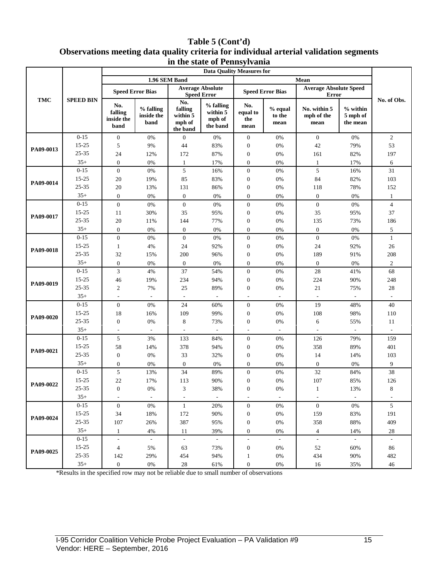### **Table 5 (Cont'd) Observations meeting data quality criteria for individual arterial validation segments in the state of Pennsylvania**

|            |                   | m me state of I embyrvania<br><b>Data Quality Measures for</b> |                                 |                                                  |                                             |                                  |                             |                                               |                                  |                          |
|------------|-------------------|----------------------------------------------------------------|---------------------------------|--------------------------------------------------|---------------------------------------------|----------------------------------|-----------------------------|-----------------------------------------------|----------------------------------|--------------------------|
| <b>TMC</b> | <b>SPEED BIN</b>  | 1.96 SEM Band                                                  |                                 |                                                  |                                             |                                  |                             |                                               |                                  |                          |
|            |                   |                                                                | <b>Speed Error Bias</b>         | <b>Speed Error</b>                               | <b>Average Absolute</b>                     |                                  | <b>Speed Error Bias</b>     | <b>Average Absolute Speed</b><br><b>Error</b> |                                  |                          |
|            |                   | No.<br>falling<br>inside the<br>band                           | % falling<br>inside the<br>band | No.<br>falling<br>within 5<br>mph of<br>the band | % falling<br>within 5<br>mph of<br>the band | No.<br>equal to<br>the<br>mean   | $%$ equal<br>to the<br>mean | No. within 5<br>mph of the<br>mean            | % within<br>5 mph of<br>the mean | No. of Obs.              |
|            | $0 - 15$          | $\boldsymbol{0}$                                               | 0%                              | $\mathbf{0}$                                     | $0\%$                                       | $\mathbf{0}$                     | 0%                          | $\overline{0}$                                | 0%                               | $\overline{2}$           |
| PA09-0013  | 15-25             | 5                                                              | 9%                              | 44                                               | 83%                                         | $\boldsymbol{0}$                 | $0\%$                       | 42                                            | 79%                              | 53                       |
|            | 25-35             | 24                                                             | 12%                             | 172                                              | 87%                                         | $\boldsymbol{0}$                 | 0%                          | 161                                           | 82%                              | 197                      |
|            | $35+$             | $\boldsymbol{0}$                                               | 0%                              | $\mathbf{1}$                                     | 17%                                         | $\mathbf{0}$                     | 0%                          | $\mathbf{1}$                                  | 17%                              | 6                        |
|            | $0 - 15$          | $\boldsymbol{0}$                                               | 0%                              | 5                                                | 16%                                         | $\mathbf{0}$                     | 0%                          | 5                                             | 16%                              | 31                       |
| PA09-0014  | $15 - 25$         | 20                                                             | 19%                             | 85                                               | 83%                                         | $\mathbf{0}$                     | 0%                          | 84                                            | 82%                              | 103                      |
|            | 25-35             | 20                                                             | 13%                             | 131                                              | 86%                                         | $\boldsymbol{0}$                 | $0\%$                       | 118                                           | 78%                              | 152                      |
|            | $35+$             | $\boldsymbol{0}$                                               | 0%                              | $\boldsymbol{0}$                                 | $0\%$                                       | $\boldsymbol{0}$                 | 0%                          | $\boldsymbol{0}$                              | $0\%$                            | $\mathbf{1}$             |
|            | $0 - 15$          | $\boldsymbol{0}$                                               | 0%                              | $\mathbf{0}$                                     | $0\%$                                       | $\mathbf{0}$                     | 0%                          | $\boldsymbol{0}$                              | 0%                               | $\overline{4}$           |
| PA09-0017  | $15 - 25$         | 11                                                             | 30%                             | 35                                               | 95%                                         | $\boldsymbol{0}$                 | $0\%$                       | 35                                            | 95%                              | 37                       |
|            | 25-35             | 20                                                             | 11%                             | 144                                              | 77%                                         | $\boldsymbol{0}$                 | $0\%$                       | 135                                           | 73%                              | 186                      |
|            | $35+$<br>$0 - 15$ | $\boldsymbol{0}$                                               | 0%                              | $\mathbf{0}$                                     | 0%                                          | $\mathbf{0}$                     | $0\%$                       | $\boldsymbol{0}$                              | 0%                               | 5                        |
|            | $15 - 25$         | $\boldsymbol{0}$<br>$\mathbf{1}$                               | 0%<br>4%                        | $\mathbf{0}$<br>24                               | 0%<br>92%                                   | $\boldsymbol{0}$<br>$\mathbf{0}$ | 0%<br>$0\%$                 | $\overline{0}$<br>24                          | 0%<br>92%                        | $\mathbf{1}$<br>26       |
| PA09-0018  | 25-35             | 32                                                             | 15%                             | 200                                              | 96%                                         | $\mathbf{0}$                     | 0%                          | 189                                           | 91%                              | 208                      |
|            | $35+$             | $\boldsymbol{0}$                                               | 0%                              | $\overline{0}$                                   | 0%                                          | $\overline{0}$                   | 0%                          | $\mathbf{0}$                                  | 0%                               | $\mathbf{2}$             |
|            | $0 - 15$          | 3                                                              | 4%                              | 37                                               | 54%                                         | $\mathbf{0}$                     | 0%                          | $28\,$                                        | 41%                              | 68                       |
|            | 15-25             | 46                                                             | 19%                             | 234                                              | 94%                                         | $\mathbf{0}$                     | 0%                          | 224                                           | 90%                              | 248                      |
| PA09-0019  | 25-35             | $\mathbf{2}$                                                   | 7%                              | 25                                               | 89%                                         | $\boldsymbol{0}$                 | $0\%$                       | $21\,$                                        | 75%                              | 28                       |
|            | $35+$             | $\overline{\phantom{a}}$                                       | $\overline{\phantom{a}}$        | $\overline{\phantom{a}}$                         | $\overline{\phantom{a}}$                    | $\overline{a}$                   | $\overline{\phantom{a}}$    | $\overline{\phantom{a}}$                      | $\overline{\phantom{a}}$         | $\overline{\phantom{a}}$ |
|            | $0 - 15$          | $\boldsymbol{0}$                                               | 0%                              | 24                                               | 60%                                         | $\mathbf{0}$                     | 0%                          | 19                                            | 48%                              | 40                       |
|            | $15 - 25$         | 18                                                             | 16%                             | 109                                              | 99%                                         | $\boldsymbol{0}$                 | $0\%$                       | 108                                           | 98%                              | 110                      |
| PA09-0020  | 25-35             | $\boldsymbol{0}$                                               | 0%                              | 8                                                | 73%                                         | $\mathbf{0}$                     | 0%                          | 6                                             | 55%                              | 11                       |
|            | $35+$             | ÷,                                                             | $\overline{\phantom{a}}$        | $\overline{\phantom{a}}$                         | $\overline{\phantom{a}}$                    |                                  | $\overline{\phantom{a}}$    | $\overline{\phantom{a}}$                      | $\overline{\phantom{a}}$         | $\overline{\phantom{a}}$ |
|            | $0 - 15$          | 5                                                              | 3%                              | 133                                              | 84%                                         | $\mathbf{0}$                     | $0\%$                       | 126                                           | 79%                              | 159                      |
| PA09-0021  | $15 - 25$         | 58                                                             | 14%                             | 378                                              | 94%                                         | $\boldsymbol{0}$                 | $0\%$                       | 358                                           | 89%                              | 401                      |
|            | 25-35             | $\boldsymbol{0}$                                               | 0%                              | 33                                               | 32%                                         | $\boldsymbol{0}$                 | 0%                          | 14                                            | 14%                              | 103                      |
|            | $35+$             | $\boldsymbol{0}$                                               | 0%                              | $\mathbf{0}$                                     | 0%                                          | $\boldsymbol{0}$                 | 0%                          | $\boldsymbol{0}$                              | 0%                               | 9                        |
|            | $0 - 15$          | 5                                                              | 13%                             | 34                                               | 89%                                         | $\mathbf{0}$                     | 0%                          | 32                                            | 84%                              | 38                       |
| PA09-0022  | $15 - 25$         | 22                                                             | 17%                             | 113                                              | 90%                                         | $\boldsymbol{0}$                 | 0%                          | 107                                           | 85%                              | 126                      |
|            | 25-35             | $\overline{0}$                                                 | 0%                              | 3                                                | 38%                                         | $\mathbf{0}$                     | 0%                          | 1                                             | 13%                              | 8                        |
|            | $35+$             | $\overline{\phantom{a}}$                                       | $\mathcal{L}$                   | $\overline{\phantom{a}}$                         | $\mathcal{L}^{\pm}$                         | ٠                                | $\blacksquare$              | $\overline{\phantom{a}}$                      | $\mathbf{r}$                     | $\overline{\phantom{a}}$ |
|            | $0 - 15$          | $\overline{0}$                                                 | 0%                              | $\mathbf{1}$                                     | 20%                                         | $\boldsymbol{0}$                 | $0\%$                       | $\mathbf{0}$                                  | 0%                               | $\mathfrak{S}$           |
| PA09-0024  | $15 - 25$         | 34                                                             | 18%                             | 172                                              | 90%                                         | $\boldsymbol{0}$                 | $0\%$                       | 159                                           | 83%                              | 191                      |
|            | $25 - 35$         | 107                                                            | 26%                             | 387                                              | 95%                                         | $\boldsymbol{0}$                 | 0%                          | 358                                           | 88%                              | 409                      |
|            | $35+$             | $\mathbf{1}$                                                   | 4%                              | 11                                               | 39%                                         | $\overline{0}$                   | 0%                          | $\overline{4}$                                | 14%                              | 28                       |
|            | $0 - 15$          | $\mathcal{L}_{\mathcal{A}}$                                    | $\mathbb{Z}^2$                  | $\omega$                                         | $\mathcal{A}^{\mathcal{A}}$                 | $\blacksquare$                   | $\mathbb{Z}^2$              | $\omega$                                      | $\sim$                           | $\omega$                 |
| PA09-0025  | $15 - 25$         | $\overline{4}$                                                 | 5%                              | 63                                               | 73%                                         | $\boldsymbol{0}$                 | 0%                          | 52                                            | 60%                              | 86                       |
|            | $25 - 35$         | 142                                                            | 29%                             | 454                                              | 94%                                         | 1                                | $0\%$                       | 434                                           | 90%                              | 482                      |
|            | $35+$             | $\boldsymbol{0}$                                               | $0\%$                           | 28                                               | 61%                                         | $\boldsymbol{0}$                 | $0\%$                       | 16                                            | 35%                              | 46                       |